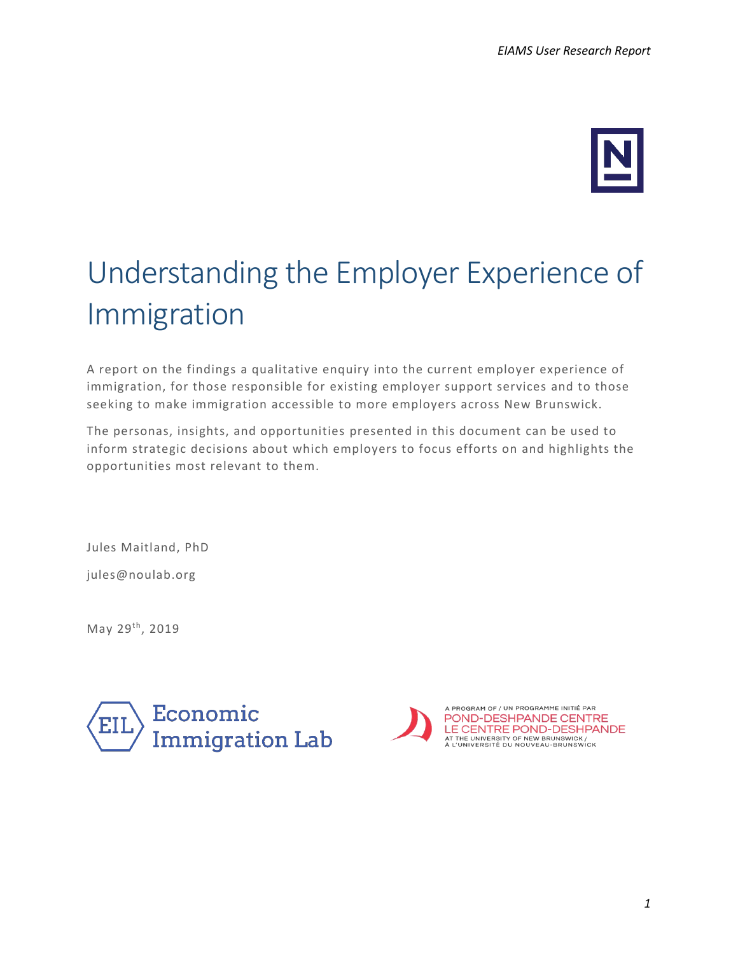

# Understanding the Employer Experience of Immigration

A report on the findings a qualitative enquiry into the current employer experience of immigration, for those responsible for existing employer support services and to those seeking to make immigration accessible to more employers across New Brunswick.

The personas, insights, and opportunities presented in this document can be used to inform strategic decisions about which employers to focus efforts on and highlights the opportunities most relevant to them.

Jules Maitland, PhD

jules@noulab.org

May 29<sup>th</sup>, 2019



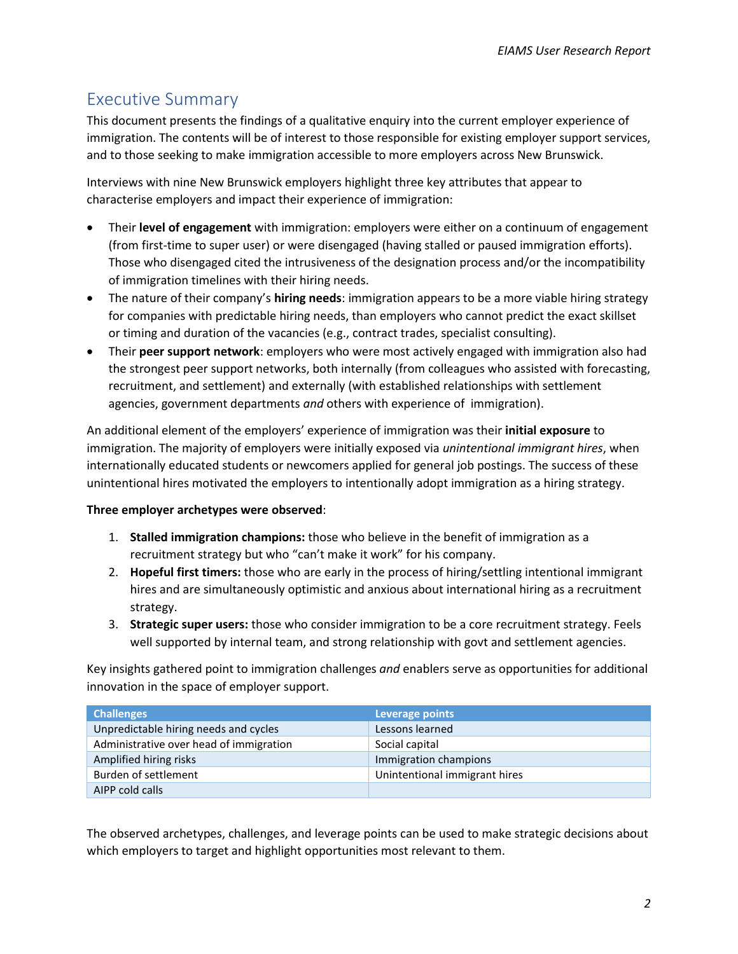### Executive Summary

This document presents the findings of a qualitative enquiry into the current employer experience of immigration. The contents will be of interest to those responsible for existing employer support services, and to those seeking to make immigration accessible to more employers across New Brunswick.

Interviews with nine New Brunswick employers highlight three key attributes that appear to characterise employers and impact their experience of immigration:

- Their **level of engagement** with immigration: employers were either on a continuum of engagement (from first-time to super user) or were disengaged (having stalled or paused immigration efforts). Those who disengaged cited the intrusiveness of the designation process and/or the incompatibility of immigration timelines with their hiring needs.
- The nature of their company's **hiring needs**: immigration appears to be a more viable hiring strategy for companies with predictable hiring needs, than employers who cannot predict the exact skillset or timing and duration of the vacancies (e.g., contract trades, specialist consulting).
- Their **peer support network**: employers who were most actively engaged with immigration also had the strongest peer support networks, both internally (from colleagues who assisted with forecasting, recruitment, and settlement) and externally (with established relationships with settlement agencies, government departments *and* others with experience of immigration).

An additional element of the employers' experience of immigration was their **initial exposure** to immigration. The majority of employers were initially exposed via *unintentional immigrant hires*, when internationally educated students or newcomers applied for general job postings. The success of these unintentional hires motivated the employers to intentionally adopt immigration as a hiring strategy.

#### **Three employer archetypes were observed**:

- 1. **Stalled immigration champions:** those who believe in the benefit of immigration as a recruitment strategy but who "can't make it work" for his company.
- 2. **Hopeful first timers:** those who are early in the process of hiring/settling intentional immigrant hires and are simultaneously optimistic and anxious about international hiring as a recruitment strategy.
- 3. **Strategic super users:** those who consider immigration to be a core recruitment strategy. Feels well supported by internal team, and strong relationship with govt and settlement agencies.

Key insights gathered point to immigration challenges *and* enablers serve as opportunities for additional innovation in the space of employer support.

| <b>Challenges</b>                       | Leverage points               |
|-----------------------------------------|-------------------------------|
| Unpredictable hiring needs and cycles   | Lessons learned               |
| Administrative over head of immigration | Social capital                |
| Amplified hiring risks                  | Immigration champions         |
| Burden of settlement                    | Unintentional immigrant hires |
| AIPP cold calls                         |                               |

The observed archetypes, challenges, and leverage points can be used to make strategic decisions about which employers to target and highlight opportunities most relevant to them.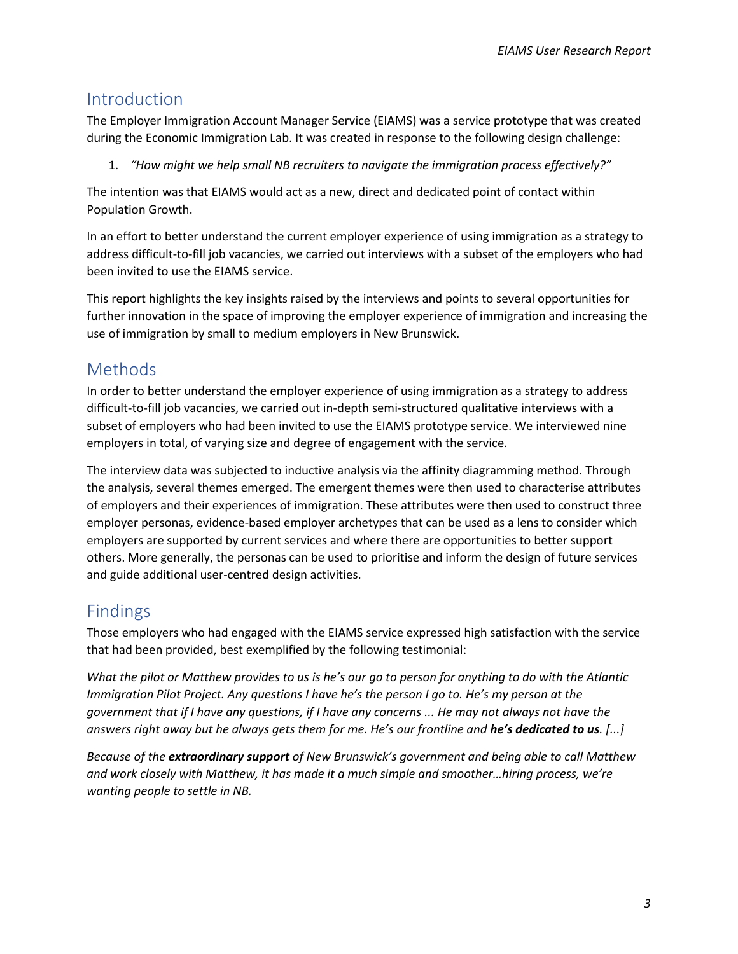## Introduction

The Employer Immigration Account Manager Service (EIAMS) was a service prototype that was created during the Economic Immigration Lab. It was created in response to the following design challenge:

1. *"How might we help small NB recruiters to navigate the immigration process effectively?"*

The intention was that EIAMS would act as a new, direct and dedicated point of contact within Population Growth.

In an effort to better understand the current employer experience of using immigration as a strategy to address difficult-to-fill job vacancies, we carried out interviews with a subset of the employers who had been invited to use the EIAMS service.

This report highlights the key insights raised by the interviews and points to several opportunities for further innovation in the space of improving the employer experience of immigration and increasing the use of immigration by small to medium employers in New Brunswick.

## Methods

In order to better understand the employer experience of using immigration as a strategy to address difficult-to-fill job vacancies, we carried out in-depth semi-structured qualitative interviews with a subset of employers who had been invited to use the EIAMS prototype service. We interviewed nine employers in total, of varying size and degree of engagement with the service.

The interview data was subjected to inductive analysis via the affinity diagramming method. Through the analysis, several themes emerged. The emergent themes were then used to characterise attributes of employers and their experiences of immigration. These attributes were then used to construct three employer personas, evidence-based employer archetypes that can be used as a lens to consider which employers are supported by current services and where there are opportunities to better support others. More generally, the personas can be used to prioritise and inform the design of future services and guide additional user-centred design activities.

## Findings

Those employers who had engaged with the EIAMS service expressed high satisfaction with the service that had been provided, best exemplified by the following testimonial:

*What the pilot or Matthew provides to us is he's our go to person for anything to do with the Atlantic Immigration Pilot Project. Any questions I have he's the person I go to. He's my person at the government that if I have any questions, if I have any concerns ... He may not always not have the answers right away but he always gets them for me. He's our frontline and he's dedicated to us. [...]* 

*Because of the extraordinary support of New Brunswick's government and being able to call Matthew and work closely with Matthew, it has made it a much simple and smoother…hiring process, we're wanting people to settle in NB.*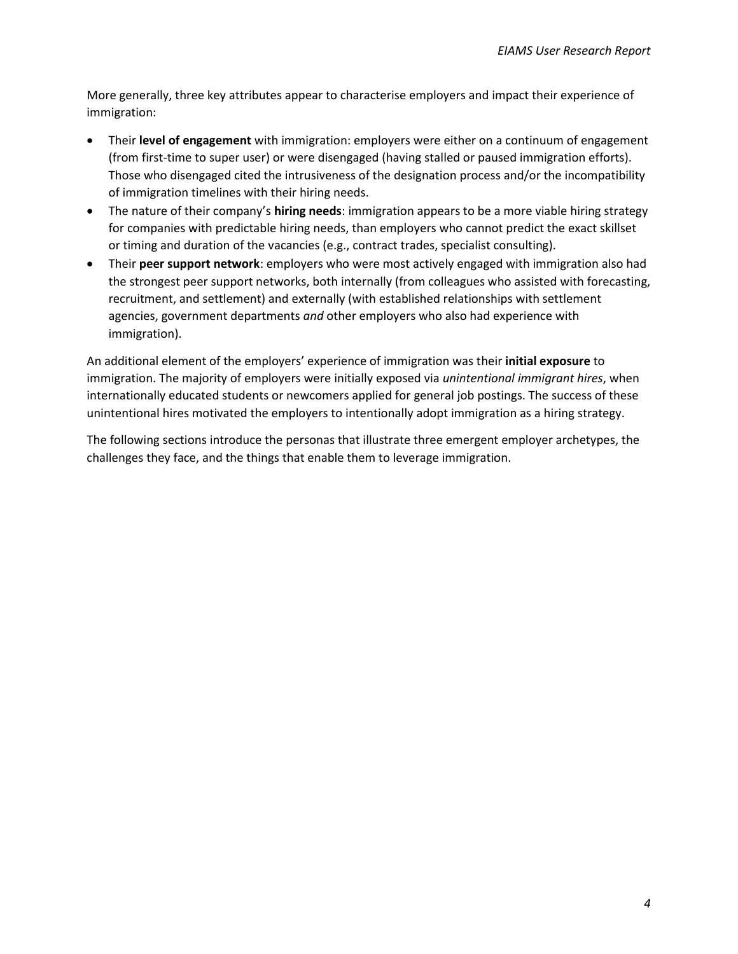More generally, three key attributes appear to characterise employers and impact their experience of immigration:

- Their **level of engagement** with immigration: employers were either on a continuum of engagement (from first-time to super user) or were disengaged (having stalled or paused immigration efforts). Those who disengaged cited the intrusiveness of the designation process and/or the incompatibility of immigration timelines with their hiring needs.
- The nature of their company's **hiring needs**: immigration appears to be a more viable hiring strategy for companies with predictable hiring needs, than employers who cannot predict the exact skillset or timing and duration of the vacancies (e.g., contract trades, specialist consulting).
- Their **peer support network**: employers who were most actively engaged with immigration also had the strongest peer support networks, both internally (from colleagues who assisted with forecasting, recruitment, and settlement) and externally (with established relationships with settlement agencies, government departments *and* other employers who also had experience with immigration).

An additional element of the employers' experience of immigration was their **initial exposure** to immigration. The majority of employers were initially exposed via *unintentional immigrant hires*, when internationally educated students or newcomers applied for general job postings. The success of these unintentional hires motivated the employers to intentionally adopt immigration as a hiring strategy.

The following sections introduce the personas that illustrate three emergent employer archetypes, the challenges they face, and the things that enable them to leverage immigration.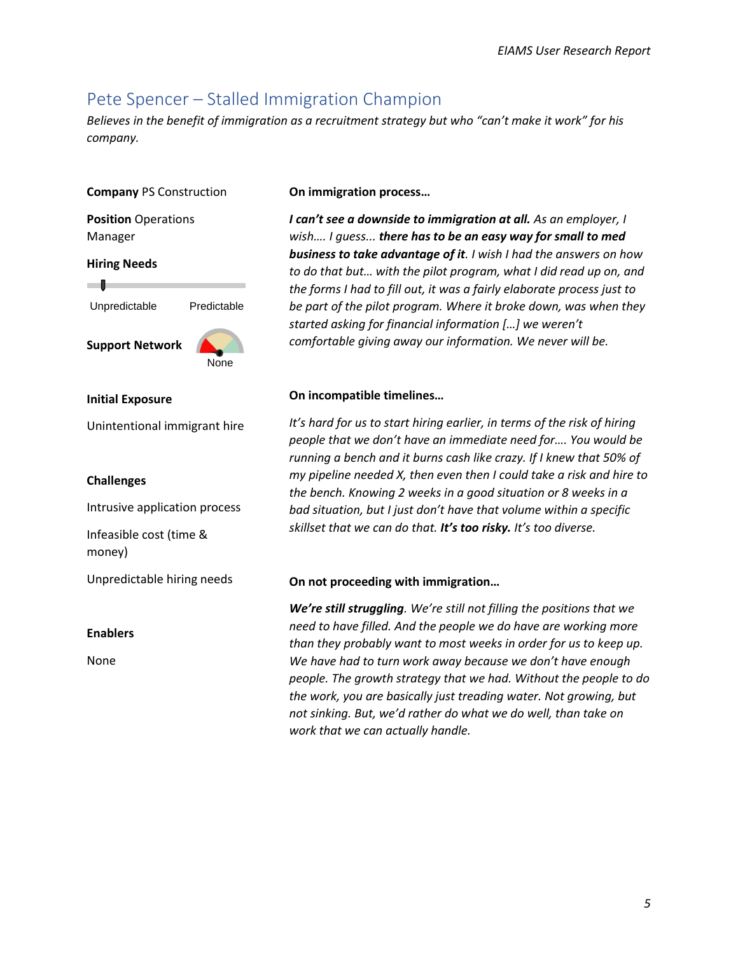## Pete Spencer – Stalled Immigration Champion

*Believes in the benefit of immigration as a recruitment strategy but who "can't make it work" for his company.*

#### **Company** PS Construction

**Position** Operations Manager

#### **Hiring Needs**

Unpredictable Predictable

**Support Network**

## None

#### **Initial Exposure**

Unintentional immigrant hire

#### **Challenges**

Intrusive application process

Infeasible cost (time & money)

Unpredictable hiring needs

#### **Enablers**

None

#### **On immigration process…**

*I can't see a downside to immigration at all. As an employer, I wish…. I guess... there has to be an easy way for small to med business to take advantage of it. I wish I had the answers on how to do that but… with the pilot program, what I did read up on, and the forms I had to fill out, it was a fairly elaborate process just to be part of the pilot program. Where it broke down, was when they started asking for financial information […] we weren't comfortable giving away our information. We never will be.*

#### **On incompatible timelines…**

*It's hard for us to start hiring earlier, in terms of the risk of hiring people that we don't have an immediate need for…. You would be running a bench and it burns cash like crazy. If I knew that 50% of my pipeline needed X, then even then I could take a risk and hire to the bench. Knowing 2 weeks in a good situation or 8 weeks in a bad situation, but I just don't have that volume within a specific skillset that we can do that. It's too risky. It's too diverse.*

#### **On not proceeding with immigration…**

*We're still struggling. We're still not filling the positions that we need to have filled. And the people we do have are working more than they probably want to most weeks in order for us to keep up. We have had to turn work away because we don't have enough people. The growth strategy that we had. Without the people to do the work, you are basically just treading water. Not growing, but not sinking. But, we'd rather do what we do well, than take on work that we can actually handle.*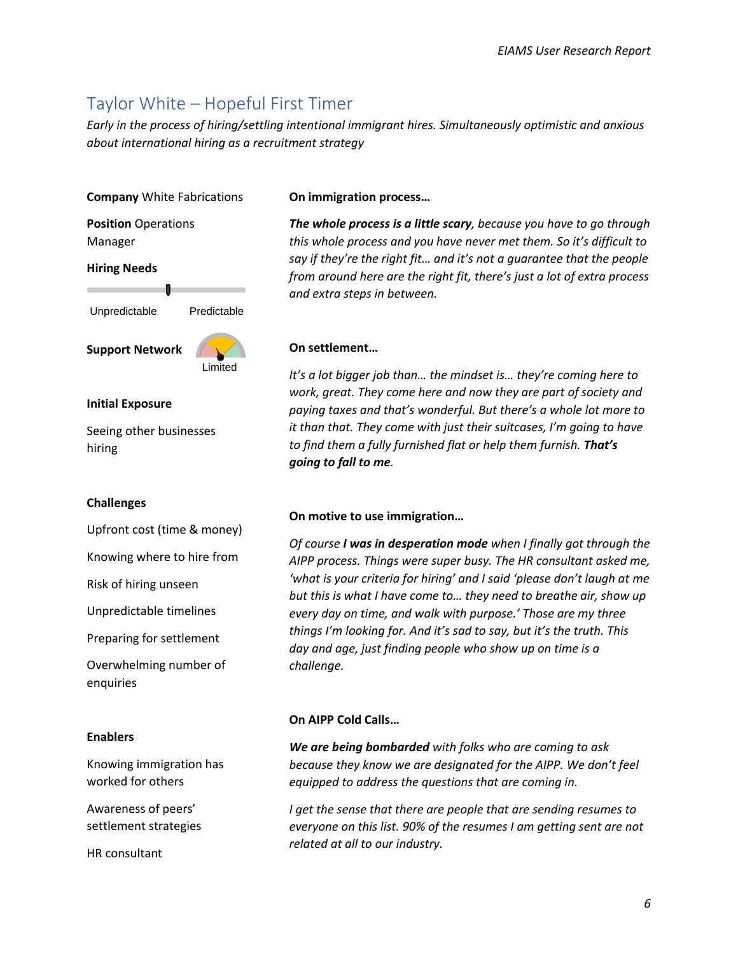## Taylor White – Hopeful First Timer

*Early in the process of hiring/settling intentional immigrant hires. Simultaneously optimistic and anxious about international hiring as a recruitment strategy*

#### **Company** White Fabrications

**Position** Operations Manager

#### **Hiring Needs**

Unpredictable Predictable

**Support Network**



#### **Initial Exposure**

Seeing other businesses hiring

#### **Challenges**

Upfront cost (time & money)

Knowing where to hire from

Risk of hiring unseen

Unpredictable timelines

Preparing for settlement

Overwhelming number of enquiries

#### **Enablers**

Knowing immigration has worked for others

Awareness of peers' settlement strategies

HR consultant

#### **On immigration process…**

*The whole process is a little scary, because you have to go through this whole process and you have never met them. So it's difficult to say if they're the right fit… and it's not a guarantee that the people from around here are the right fit, there's just a lot of extra process and extra steps in between.*

#### **On settlement…**

*It's a lot bigger job than… the mindset is… they're coming here to work, great. They come here and now they are part of society and paying taxes and that's wonderful. But there's a whole lot more to it than that. They come with just their suitcases, I'm going to have to find them a fully furnished flat or help them furnish. That's going to fall to me.*

#### **On motive to use immigration…**

*Of course I was in desperation mode when I finally got through the AIPP process. Things were super busy. The HR consultant asked me, 'what is your criteria for hiring' and I said 'please don't laugh at me but this is what I have come to… they need to breathe air, show up every day on time, and walk with purpose.' Those are my three things I'm looking for. And it's sad to say, but it's the truth. This day and age, just finding people who show up on time is a challenge.*

#### **On AIPP Cold Calls…**

*We are being bombarded with folks who are coming to ask because they know we are designated for the AIPP. We don't feel equipped to address the questions that are coming in.*

*I get the sense that there are people that are sending resumes to everyone on this list. 90% of the resumes I am getting sent are not related at all to our industry.*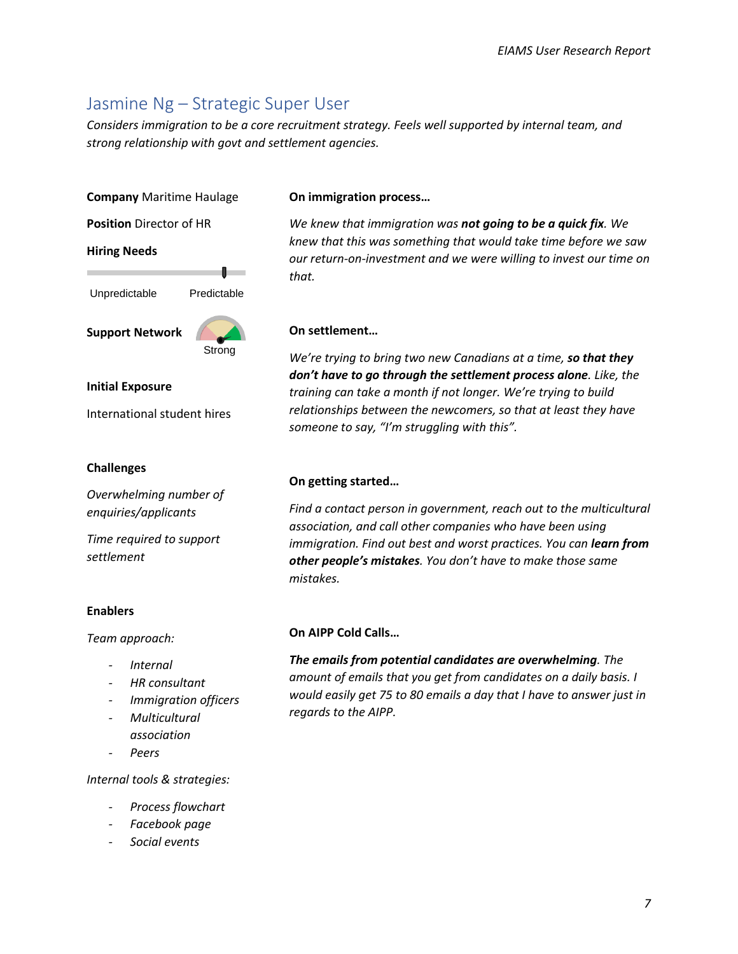## Jasmine Ng – Strategic Super User

*Considers immigration to be a core recruitment strategy. Feels well supported by internal team, and strong relationship with govt and settlement agencies.*

### **Company** Maritime Haulage

**Position** Director of HR

#### **Hiring Needs**



**Support Network**

Strong

 $\blacksquare$ 

#### **Initial Exposure**

International student hires

#### **Challenges**

*Overwhelming number of enquiries/applicants*

*Time required to support settlement* 

#### **Enablers**

*Team approach:*

- *- Internal*
- *- HR consultant*
- *- Immigration officers*
- *- Multicultural association*
- *- Peers*

*Internal tools & strategies:*

- *- Process flowchart*
- *- Facebook page*
- *- Social events*

#### **On immigration process…**

*We knew that immigration was not going to be a quick fix. We knew that this was something that would take time before we saw our return-on-investment and we were willing to invest our time on that.*

#### **On settlement…**

*We're trying to bring two new Canadians at a time, so that they don't have to go through the settlement process alone. Like, the training can take a month if not longer. We're trying to build relationships between the newcomers, so that at least they have someone to say, "I'm struggling with this".*

#### **On getting started…**

*Find a contact person in government, reach out to the multicultural association, and call other companies who have been using immigration. Find out best and worst practices. You can learn from other people's mistakes. You don't have to make those same mistakes.*

#### **On AIPP Cold Calls…**

*The emails from potential candidates are overwhelming. The amount of emails that you get from candidates on a daily basis. I would easily get 75 to 80 emails a day that I have to answer just in regards to the AIPP.*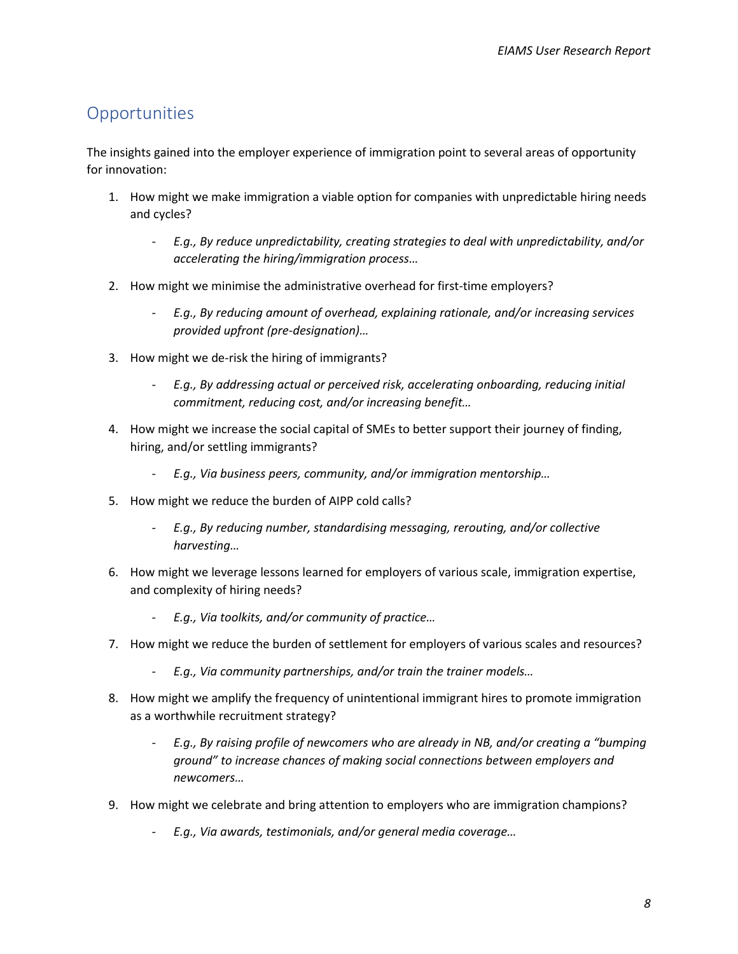## **Opportunities**

The insights gained into the employer experience of immigration point to several areas of opportunity for innovation:

- 1. How might we make immigration a viable option for companies with unpredictable hiring needs and cycles?
	- *- E.g., By reduce unpredictability, creating strategies to deal with unpredictability, and/or accelerating the hiring/immigration process…*
- 2. How might we minimise the administrative overhead for first-time employers?
	- *- E.g., By reducing amount of overhead, explaining rationale, and/or increasing services provided upfront (pre-designation)…*
- 3. How might we de-risk the hiring of immigrants?
	- *- E.g., By addressing actual or perceived risk, accelerating onboarding, reducing initial commitment, reducing cost, and/or increasing benefit…*
- 4. How might we increase the social capital of SMEs to better support their journey of finding, hiring, and/or settling immigrants?
	- *- E.g., Via business peers, community, and/or immigration mentorship…*
- 5. How might we reduce the burden of AIPP cold calls?
	- *- E.g., By reducing number, standardising messaging, rerouting, and/or collective harvesting…*
- 6. How might we leverage lessons learned for employers of various scale, immigration expertise, and complexity of hiring needs?
	- *- E.g., Via toolkits, and/or community of practice…*
- 7. How might we reduce the burden of settlement for employers of various scales and resources?
	- *- E.g., Via community partnerships, and/or train the trainer models…*
- 8. How might we amplify the frequency of unintentional immigrant hires to promote immigration as a worthwhile recruitment strategy?
	- *- E.g., By raising profile of newcomers who are already in NB, and/or creating a "bumping ground" to increase chances of making social connections between employers and newcomers…*
- 9. How might we celebrate and bring attention to employers who are immigration champions?
	- *- E.g., Via awards, testimonials, and/or general media coverage…*